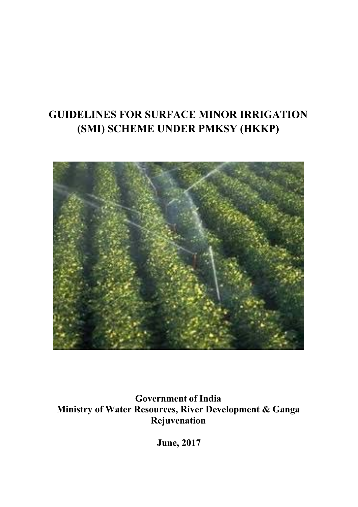# **GUIDELINES FOR SURFACE MINOR IRRIGATION (SMI) SCHEME UNDER PMKSY (HKKP)**



**Government of India Ministry of Water Resources, River Development & Ganga Rejuvenation** 

**June, 2017**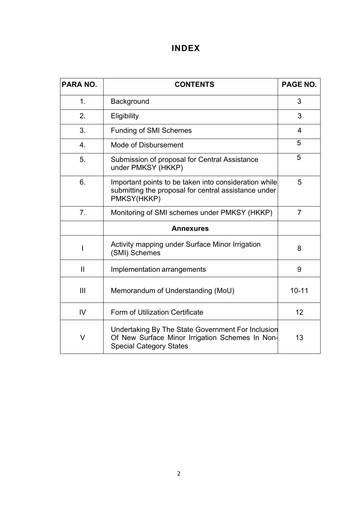# **INDEX**

| <b>PARA NO.</b>  | <b>CONTENTS</b>                                                                                                                        | PAGE NO.       |  |
|------------------|----------------------------------------------------------------------------------------------------------------------------------------|----------------|--|
| 1 <sub>1</sub>   | Background                                                                                                                             | 3              |  |
| 2.               | Eligibility                                                                                                                            | 3              |  |
| 3.               | <b>Funding of SMI Schemes</b>                                                                                                          | 4              |  |
| 4.               | Mode of Disbursement                                                                                                                   | 5              |  |
| 5.               | Submission of proposal for Central Assistance<br>under PMKSY (HKKP)                                                                    | 5              |  |
| 6.               | Important points to be taken into consideration while<br>submitting the proposal for central assistance under<br>PMKSY(HKKP)           | 5              |  |
| 7.               | Monitoring of SMI schemes under PMKSY (HKKP)                                                                                           | $\overline{7}$ |  |
| <b>Annexures</b> |                                                                                                                                        |                |  |
| L                | Activity mapping under Surface Minor Irrigation<br>(SMI) Schemes                                                                       | 8              |  |
| $\mathbf{II}$    | Implementation arrangements                                                                                                            | 9              |  |
| Ш                | Memorandum of Understanding (MoU)                                                                                                      | $10 - 11$      |  |
| $\overline{V}$   | Form of Utilization Certificate                                                                                                        | 12             |  |
| V                | Undertaking By The State Government For Inclusion<br>Of New Surface Minor Irrigation Schemes In Non-<br><b>Special Category States</b> | 13             |  |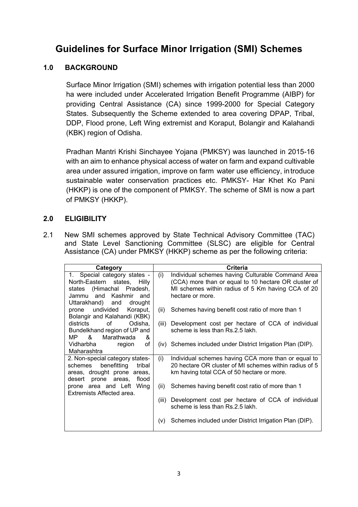# **Guidelines for Surface Minor Irrigation (SMI) Schemes**

# **1.0 BACKGROUND**

Surface Minor Irrigation (SMI) schemes with irrigation potential less than 2000 ha were included under Accelerated Irrigation Benefit Programme (AIBP) for providing Central Assistance (CA) since 1999-2000 for Special Category States. Subsequently the Scheme extended to area covering DPAP, Tribal, DDP, Flood prone, Left Wing extremist and Koraput, Bolangir and Kalahandi (KBK) region of Odisha.

Pradhan Mantri Krishi Sinchayee Yojana (PMKSY) was launched in 2015-16 with an aim to enhance physical access of water on farm and expand cultivable area under assured irrigation, improve on farm water use efficiency, introduce sustainable water conservation practices etc. PMKSY- Har Khet Ko Pani (HKKP) is one of the component of PMKSY. The scheme of SMI is now a part of PMKSY (HKKP).

## **2.0 ELIGIBILITY**

2.1 New SMI schemes approved by State Technical Advisory Committee (TAC) and State Level Sanctioning Committee (SLSC) are eligible for Central Assistance (CA) under PMKSY (HKKP) scheme as per the following criteria:

| Category                                                                                                                           | Criteria                                                                                                                                                                                  |  |  |
|------------------------------------------------------------------------------------------------------------------------------------|-------------------------------------------------------------------------------------------------------------------------------------------------------------------------------------------|--|--|
| 1. Special category states -<br>North-Eastern states, Hilly<br>states (Himachal Pradesh,<br>Jammu and Kashmir and                  | (i)<br>Individual schemes having Culturable Command Area<br>(CCA) more than or equal to 10 hectare OR cluster of<br>MI schemes within radius of 5 Km having CCA of 20<br>hectare or more. |  |  |
| Uttarakhand) and drought<br>undivided<br>Koraput,<br>prone<br>Bolangir and Kalahandi (KBK)                                         | Schemes having benefit cost ratio of more than 1<br>(ii)                                                                                                                                  |  |  |
| of<br>Odisha,<br>districts<br>Bundelkhand region of UP and<br>Marathwada<br>MP &<br>&                                              | (iii)<br>Development cost per hectare of CCA of individual<br>scheme is less than Rs.2.5 lakh.                                                                                            |  |  |
| of<br>Vidharbha<br>region<br>Maharashtra                                                                                           | (iv) Schemes included under District Irrigation Plan (DIP).                                                                                                                               |  |  |
| 2. Non-special category states-<br>benefitting<br>tribal<br>schemes<br>areas, drought prone areas,<br>desert prone areas,<br>flood | Individual schemes having CCA more than or equal to<br>(i)<br>20 hectare OR cluster of MI schemes within radius of 5<br>km having total CCA of 50 hectare or more.                        |  |  |
| prone area and Left Wing<br>Extremists Affected area.                                                                              | Schemes having benefit cost ratio of more than 1<br>(ii)                                                                                                                                  |  |  |
|                                                                                                                                    | Development cost per hectare of CCA of individual<br>(iii)<br>scheme is less than Rs.2.5 lakh.                                                                                            |  |  |
|                                                                                                                                    | Schemes included under District Irrigation Plan (DIP).<br>(V)                                                                                                                             |  |  |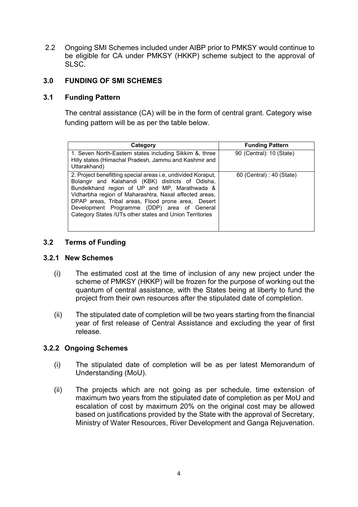2.2 Ongoing SMI Schemes included under AIBP prior to PMKSY would continue to be eligible for CA under PMKSY (HKKP) scheme subject to the approval of SLSC.

## **3.0 FUNDING OF SMI SCHEMES**

### **3.1 Funding Pattern**

 The central assistance (CA) will be in the form of central grant. Category wise funding pattern will be as per the table below.

| Category                                                                                                                                                                                                                                                                                                                                                                                     | <b>Funding Pattern</b>    |
|----------------------------------------------------------------------------------------------------------------------------------------------------------------------------------------------------------------------------------------------------------------------------------------------------------------------------------------------------------------------------------------------|---------------------------|
| 1. Seven North-Eastern states including Sikkim &, three<br>Hilly states (Himachal Pradesh, Jammu and Kashmir and<br>Uttarakhand)                                                                                                                                                                                                                                                             | 90 (Central): 10 (State)  |
| 2. Project benefitting special areas i.e, undivided Koraput,<br>Bolangir and Kalahandi (KBK) districts of Odisha,<br>Bundelkhand region of UP and MP, Marathwada &<br>Vidharbha region of Maharashtra, Naxal affected areas,<br>DPAP areas, Tribal areas, Flood prone area, Desert<br>Development Programme (DDP) area of General<br>Category States /UTs other states and Union Territories | 60 (Central) : 40 (State) |

### **3.2 Terms of Funding**

#### **3.2.1 New Schemes**

- (i) The estimated cost at the time of inclusion of any new project under the scheme of PMKSY (HKKP) will be frozen for the purpose of working out the quantum of central assistance, with the States being at liberty to fund the project from their own resources after the stipulated date of completion.
- (ii) The stipulated date of completion will be two years starting from the financial year of first release of Central Assistance and excluding the year of first release.

### **3.2.2 Ongoing Schemes**

- (i) The stipulated date of completion will be as per latest Memorandum of Understanding (MoU).
- (ii) The projects which are not going as per schedule, time extension of maximum two years from the stipulated date of completion as per MoU and escalation of cost by maximum 20% on the original cost may be allowed based on justifications provided by the State with the approval of Secretary, Ministry of Water Resources, River Development and Ganga Rejuvenation.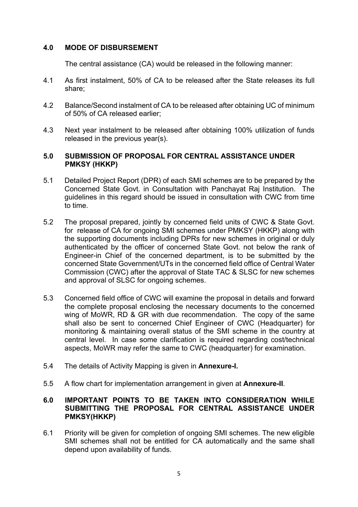### **4.0 MODE OF DISBURSEMENT**

The central assistance (CA) would be released in the following manner:

- 4.1 As first instalment, 50% of CA to be released after the State releases its full share;
- 4.2 Balance/Second instalment of CA to be released after obtaining UC of minimum of 50% of CA released earlier;
- 4.3 Next year instalment to be released after obtaining 100% utilization of funds released in the previous year(s).

### **5.0 SUBMISSION OF PROPOSAL FOR CENTRAL ASSISTANCE UNDER PMKSY (HKKP)**

- 5.1 Detailed Project Report (DPR) of each SMI schemes are to be prepared by the Concerned State Govt. in Consultation with Panchayat Raj Institution. The guidelines in this regard should be issued in consultation with CWC from time to time.
- 5.2 The proposal prepared, jointly by concerned field units of CWC & State Govt. for release of CA for ongoing SMI schemes under PMKSY (HKKP) along with the supporting documents including DPRs for new schemes in original or duly authenticated by the officer of concerned State Govt. not below the rank of Engineer-in Chief of the concerned department, is to be submitted by the concerned State Government/UTs in the concerned field office of Central Water Commission (CWC) after the approval of State TAC & SLSC for new schemes and approval of SLSC for ongoing schemes.
- 5.3 Concerned field office of CWC will examine the proposal in details and forward the complete proposal enclosing the necessary documents to the concerned wing of MoWR, RD & GR with due recommendation. The copy of the same shall also be sent to concerned Chief Engineer of CWC (Headquarter) for monitoring & maintaining overall status of the SMI scheme in the country at central level. In case some clarification is required regarding cost/technical aspects, MoWR may refer the same to CWC (headquarter) for examination.
- 5.4 The details of Activity Mapping is given in **Annexure-I.**
- 5.5 A flow chart for implementation arrangement in given at **Annexure-II**.

#### **6.0 IMPORTANT POINTS TO BE TAKEN INTO CONSIDERATION WHILE SUBMITTING THE PROPOSAL FOR CENTRAL ASSISTANCE UNDER PMKSY(HKKP)**

6.1 Priority will be given for completion of ongoing SMI schemes. The new eligible SMI schemes shall not be entitled for CA automatically and the same shall depend upon availability of funds.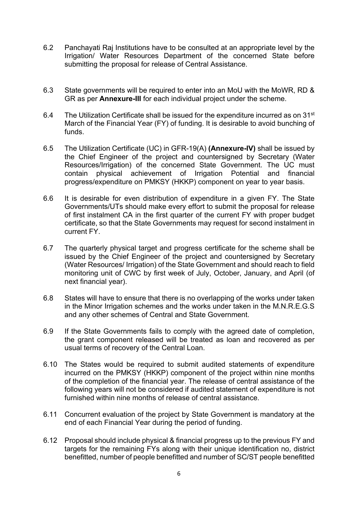- 6.2 Panchayati Raj Institutions have to be consulted at an appropriate level by the Irrigation/ Water Resources Department of the concerned State before submitting the proposal for release of Central Assistance.
- 6.3 State governments will be required to enter into an MoU with the MoWR, RD & GR as per **Annexure-III** for each individual project under the scheme.
- 6.4 The Utilization Certificate shall be issued for the expenditure incurred as on  $31^{st}$ March of the Financial Year (FY) of funding. It is desirable to avoid bunching of funds.
- 6.5 The Utilization Certificate (UC) in GFR-19(A) **(Annexure-IV)** shall be issued by the Chief Engineer of the project and countersigned by Secretary (Water Resources/Irrigation) of the concerned State Government. The UC must contain physical achievement of Irrigation Potential and financial progress/expenditure on PMKSY (HKKP) component on year to year basis.
- 6.6 It is desirable for even distribution of expenditure in a given FY. The State Governments/UTs should make every effort to submit the proposal for release of first instalment CA in the first quarter of the current FY with proper budget certificate, so that the State Governments may request for second instalment in current FY.
- 6.7 The quarterly physical target and progress certificate for the scheme shall be issued by the Chief Engineer of the project and countersigned by Secretary (Water Resources/ Irrigation) of the State Government and should reach to field monitoring unit of CWC by first week of July, October, January, and April (of next financial year).
- 6.8 States will have to ensure that there is no overlapping of the works under taken in the Minor Irrigation schemes and the works under taken in the M.N.R.E.G.S and any other schemes of Central and State Government.
- 6.9 If the State Governments fails to comply with the agreed date of completion, the grant component released will be treated as loan and recovered as per usual terms of recovery of the Central Loan.
- 6.10 The States would be required to submit audited statements of expenditure incurred on the PMKSY (HKKP) component of the project within nine months of the completion of the financial year. The release of central assistance of the following years will not be considered if audited statement of expenditure is not furnished within nine months of release of central assistance.
- 6.11 Concurrent evaluation of the project by State Government is mandatory at the end of each Financial Year during the period of funding.
- 6.12 Proposal should include physical & financial progress up to the previous FY and targets for the remaining FYs along with their unique identification no, district benefitted, number of people benefitted and number of SC/ST people benefitted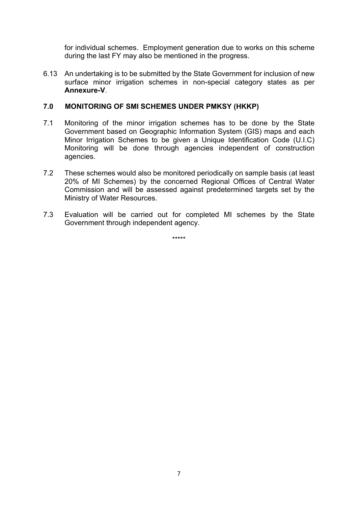for individual schemes. Employment generation due to works on this scheme during the last FY may also be mentioned in the progress.

6.13 An undertaking is to be submitted by the State Government for inclusion of new surface minor irrigation schemes in non-special category states as per **Annexure-V**.

### **7.0 MONITORING OF SMI SCHEMES UNDER PMKSY (HKKP)**

- 7.1 Monitoring of the minor irrigation schemes has to be done by the State Government based on Geographic Information System (GIS) maps and each Minor Irrigation Schemes to be given a Unique Identification Code (U.I.C) Monitoring will be done through agencies independent of construction agencies.
- 7.2 These schemes would also be monitored periodically on sample basis (at least 20% of MI Schemes) by the concerned Regional Offices of Central Water Commission and will be assessed against predetermined targets set by the Ministry of Water Resources.
- 7.3 Evaluation will be carried out for completed MI schemes by the State Government through independent agency.

\*\*\*\*\*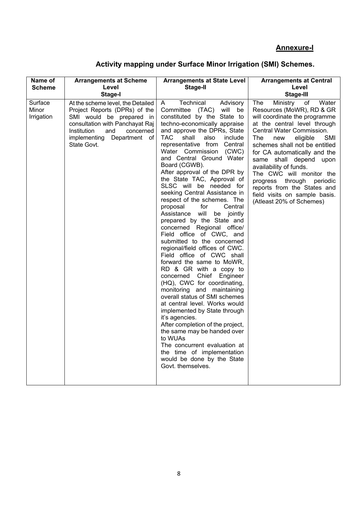# **Annexure-I**

| Activity mapping under Surface Minor Irrigation (SMI) Schemes. |  |  |
|----------------------------------------------------------------|--|--|
|                                                                |  |  |

| Name of                        | <b>Arrangements at Scheme</b>                                                                                                                                                                                        | <b>Arrangements at State Level</b>                                                                                                                                                                                                                                                                                                                                                                                                                                                                                                                                                                                                                                                                                                                                                                                                                                                                                                                                                                                                                                                                                                                                                             | <b>Arrangements at Central</b>                                                                                                                                                                                                                                                                                                                                                                                                                                          |
|--------------------------------|----------------------------------------------------------------------------------------------------------------------------------------------------------------------------------------------------------------------|------------------------------------------------------------------------------------------------------------------------------------------------------------------------------------------------------------------------------------------------------------------------------------------------------------------------------------------------------------------------------------------------------------------------------------------------------------------------------------------------------------------------------------------------------------------------------------------------------------------------------------------------------------------------------------------------------------------------------------------------------------------------------------------------------------------------------------------------------------------------------------------------------------------------------------------------------------------------------------------------------------------------------------------------------------------------------------------------------------------------------------------------------------------------------------------------|-------------------------------------------------------------------------------------------------------------------------------------------------------------------------------------------------------------------------------------------------------------------------------------------------------------------------------------------------------------------------------------------------------------------------------------------------------------------------|
| <b>Scheme</b>                  | Level                                                                                                                                                                                                                | <b>Stage-II</b>                                                                                                                                                                                                                                                                                                                                                                                                                                                                                                                                                                                                                                                                                                                                                                                                                                                                                                                                                                                                                                                                                                                                                                                | Level                                                                                                                                                                                                                                                                                                                                                                                                                                                                   |
|                                | Stage-I                                                                                                                                                                                                              |                                                                                                                                                                                                                                                                                                                                                                                                                                                                                                                                                                                                                                                                                                                                                                                                                                                                                                                                                                                                                                                                                                                                                                                                | <b>Stage-III</b>                                                                                                                                                                                                                                                                                                                                                                                                                                                        |
| Surface<br>Minor<br>Irrigation | At the scheme level, the Detailed<br>Project Reports (DPRs) of the<br>SMI would be prepared in<br>consultation with Panchayat Raj<br>Institution<br>and<br>concerned<br>implementing Department<br>of<br>State Govt. | A<br>Technical<br>Advisory<br>Committee<br>(TAC)<br>will<br>be<br>constituted by the State to<br>techno-economically appraise<br>and approve the DPRs, State<br><b>TAC</b><br>shall<br>also<br>include<br>representative from Central<br>Water Commission (CWC)<br>and Central Ground Water<br>Board (CGWB).<br>After approval of the DPR by<br>the State TAC, Approval of<br>SLSC will be needed for<br>seeking Central Assistance in<br>respect of the schemes. The<br>proposal<br>for<br>Central<br>will<br>Assistance<br>be jointly<br>prepared by the State and<br>concerned Regional office/<br>Field office of CWC, and<br>submitted to the concerned<br>regional/field offices of CWC.<br>Field office of CWC shall<br>forward the same to MoWR,<br>RD & GR with a copy to<br>concerned Chief Engineer<br>(HQ), CWC for coordinating,<br>monitoring and maintaining<br>overall status of SMI schemes<br>at central level. Works would<br>implemented by State through<br>it's agencies.<br>After completion of the project,<br>the same may be handed over<br>to WUAs<br>The concurrent evaluation at<br>the time of implementation<br>would be done by the State<br>Govt. themselves. | The<br>Ministry<br>Water<br>of<br>Resources (MoWR), RD & GR<br>will coordinate the programme<br>at the central level through<br>Central Water Commission.<br>The<br>eligible<br>SMI<br>new<br>schemes shall not be entitled<br>for CA automatically and the<br>same shall depend upon<br>availability of funds.<br>The CWC will monitor the<br>progress through<br>periodic<br>reports from the States and<br>field visits on sample basis.<br>(Atleast 20% of Schemes) |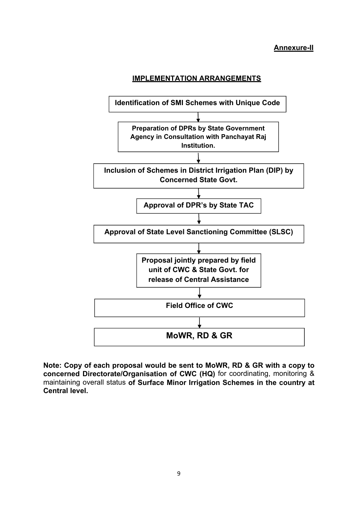#### **Annexure-II**





**Note: Copy of each proposal would be sent to MoWR, RD & GR with a copy to concerned Directorate/Organisation of CWC (HQ)** for coordinating, monitoring & maintaining overall status **of Surface Minor Irrigation Schemes in the country at Central level.**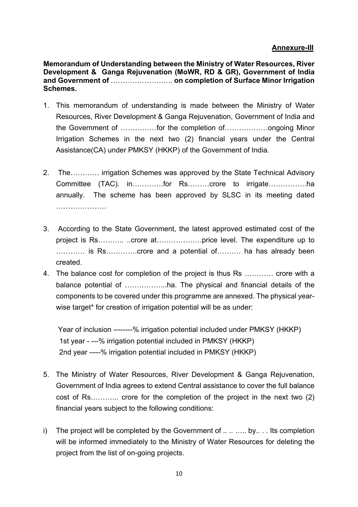# **Annexure-III**

**Memorandum of Understanding between the Ministry of Water Resources, River Development & Ganga Rejuvenation (MoWR, RD & GR), Government of India and Government of** …………………….. **on completion of Surface Minor Irrigation Schemes.** 

- 1. This memorandum of understanding is made between the Ministry of Water Resources, River Development & Ganga Rejuvenation, Government of India and the Government of ……………for the completion of………………ongoing Minor Irrigation Schemes in the next two (2) financial years under the Central Assistance(CA) under PMKSY (HKKP) of the Government of India.
- 2. The………… irrigation Schemes was approved by the State Technical Advisory Committee (TAC). in………….for Rs………crore to irrigate…………….ha annually. The scheme has been approved by SLSC in its meeting dated …………………
- 3. According to the State Government, the latest approved estimated cost of the project is Rs……….. ..crore at……………….price level. The expenditure up to ………… is Rs………….crore and a potential of………. ha has already been created.
- 4. The balance cost for completion of the project is thus Rs ………… crore with a balance potential of ……………...ha. The physical and financial details of the components to be covered under this programme are annexed. The physical yearwise target\* for creation of irrigation potential will be as under:

 Year of inclusion --------% irrigation potential included under PMKSY (HKKP) 1st year - ---% irrigation potential included in PMKSY (HKKP) 2nd year –---% irrigation potential included in PMKSY (HKKP)

- 5. The Ministry of Water Resources, River Development & Ganga Rejuvenation, Government of India agrees to extend Central assistance to cover the full balance cost of Rs………... crore for the completion of the project in the next two (2) financial years subject to the following conditions:
- i) The project will be completed by the Government of  $\dots \dots$  by... Its completion will be informed immediately to the Ministry of Water Resources for deleting the project from the list of on-going projects.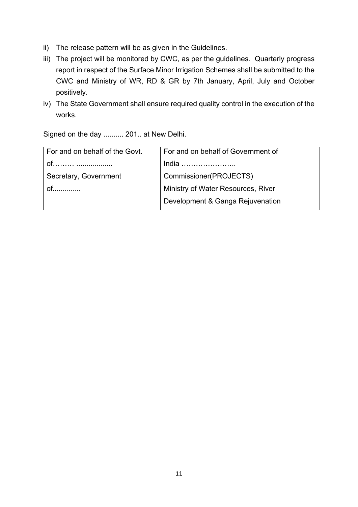- ii) The release pattern will be as given in the Guidelines.
- iii) The project will be monitored by CWC, as per the guidelines. Quarterly progress report in respect of the Surface Minor Irrigation Schemes shall be submitted to the CWC and Ministry of WR, RD & GR by 7th January, April, July and October positively.
- iv) The State Government shall ensure required quality control in the execution of the works.

Signed on the day .......... 201.. at New Delhi.

| For and on behalf of the Govt. | For and on behalf of Government of |  |
|--------------------------------|------------------------------------|--|
|                                | India                              |  |
| Secretary, Government          | Commissioner(PROJECTS)             |  |
|                                | Ministry of Water Resources, River |  |
|                                | Development & Ganga Rejuvenation   |  |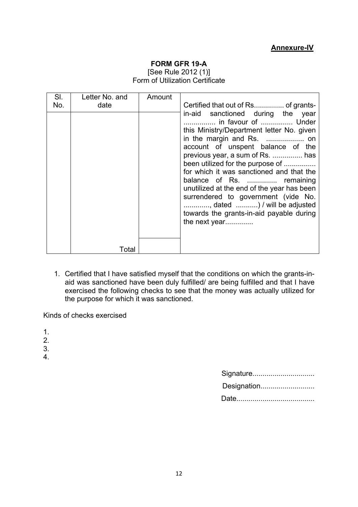### **Annexure-IV**

#### **FORM GFR 19-A**

[See Rule 2012 (1)] Form of Utilization Certificate

| SI. | Letter No. and | Amount |                                                                                                                                                                                                                                                                                                                                                                                                                                                                               |
|-----|----------------|--------|-------------------------------------------------------------------------------------------------------------------------------------------------------------------------------------------------------------------------------------------------------------------------------------------------------------------------------------------------------------------------------------------------------------------------------------------------------------------------------|
| No. | date           |        | in-aid sanctioned during the year<br>in favour of  Under<br>this Ministry/Department letter No. given<br>account of unspent balance of the<br>previous year, a sum of Rs.  has<br>been utilized for the purpose of<br>for which it was sanctioned and that the<br>balance of Rs.  remaining<br>unutilized at the end of the year has been<br>surrendered to government (vide No.<br>, dated ) / will be adjusted<br>towards the grants-in-aid payable during<br>the next year |
|     | Total          |        |                                                                                                                                                                                                                                                                                                                                                                                                                                                                               |

1. Certified that I have satisfied myself that the conditions on which the grants-inaid was sanctioned have been duly fulfilled/ are being fulfilled and that I have exercised the following checks to see that the money was actually utilized for the purpose for which it was sanctioned.

Kinds of checks exercised

- 1.
- 2.
- 3.
- 4.

| Signature   |
|-------------|
| Designation |
|             |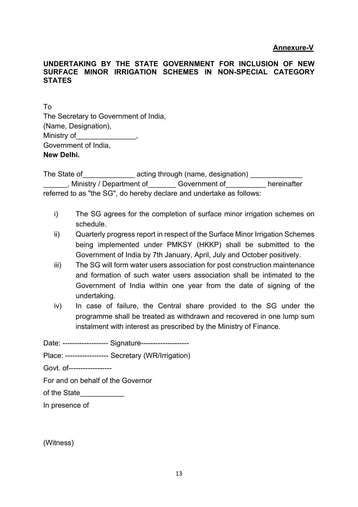#### **Annexure-V**

#### **UNDERTAKING BY THE STATE GOVERNMENT FOR INCLUSION OF NEW SURFACE MINOR IRRIGATION SCHEMES IN NON-SPECIAL CATEGORY STATES**

To The Secretary to Government of India, (Name, Designation), Ministry of\_\_\_\_\_\_\_\_\_\_\_\_\_\_\_, Government of India,

**New Delhi.** 

The State of The State of The State of The State of The State of The State of The State acting through (name, designation)  $\frac{1}{\sqrt{1-\frac{1}{n}}}$ \_\_\_\_\_\_, Ministry / Department of\_\_\_\_\_\_\_ Government of\_\_\_\_\_\_\_\_\_\_ hereinafter referred to as "the SG", do hereby declare and undertake as follows:

- i) The SG agrees for the completion of surface minor irrigation schemes on schedule.
- ii) Quarterly progress report in respect of the Surface Minor Irrigation Schemes being implemented under PMKSY (HKKP) shall be submitted to the Government of India by 7th January, April, July and October positively.
- iii) The SG will form water users association for post construction maintenance and formation of such water users association shall be intimated to the Government of India within one year from the date of signing of the undertaking.
- iv) In case of failure, the Central share provided to the SG under the programme shall be treated as withdrawn and recovered in one lump sum instalment with interest as prescribed by the Ministry of Finance.

Date: ------------------- Signature--------------------

Place: ------------------ Secretary (WR/Irrigation)

Govt. of------------------

For and on behalf of the Governor

of the State

In presence of

(Witness)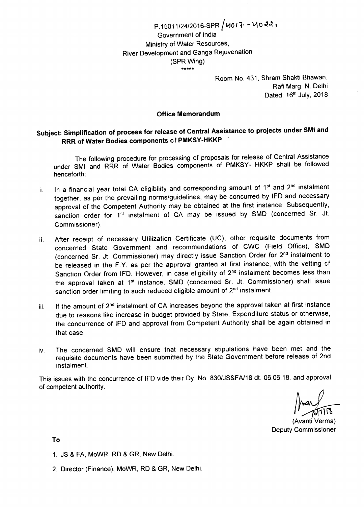## $P.15011/24/2016$ -SPR  $\big/$ U017 - U022, Government of lndia Ministry of Water Resources, River Development and Ganga Rejuvenation (SPR Wing)  $*****$

Room No. 431, Shram Shakti Bhawan, Rafi Marg, N. Delhi Dated: 16<sup>th</sup> July, 2018

#### Office Memorandum

# Subject: Simplification of process for release of Central Assistance to projects under SMI and RRR of Water Bodies components of PMKSY-HKKP

The following procedure for processing of proposals for release of Central Assistance under SMI and RRR of Water Bodies components of PMKSY- HKKP shall be followed henceforth:

- i. In a financial year total CA eligibility and corresponding amount of  $1^{st}$  and  $2^{nd}$  instalment together, as per the prevailing norms/guidelines, may be concurred by IFD and necessary approval of the Competent Authority may be obtained at the first instance. Subsequently, sanction order for 1<sup>st</sup> instalment of CA may be issued by SMD (concerned Sr. Jt. Commissioner).
- ii. After receipt of necessary Utilization Certificate (UC), other requisite documents from concerned State Government and recommendations of CWC (Field Office), SMD (concerned Sr. Jt. Commissioner) may directly issue Sanction Order for 2nd instalment to be released in the F.Y. as per the approval granted at first instance, with the vetting cf Sanction Order from IFD. However, in case eligibility of 2<sup>nd</sup> instalment becomes less than the approval taken at 1<sup>st</sup> instance, SMD (concerned Sr. Jt. Commissioner) shall issue sanction order limiting to such reduced eligible amount of 2<sup>nd</sup> instalment.
- iii. If the amount of 2<sup>nd</sup> instalment of CA increases beyond the approval taken at first instance due to reasons like increase in budget provided by State, Expenditure status or otherwise, the concurrence of IFD and approval from Competent Authority shall be again obtained in that case.
- iv. The concerned SMD will ensure that necessary stipulations have been met and the requisite documents have been submitted by the State Government before release of 2nd instalment.

This issues with the concurrence of IFD vide their Dy. No. 830/JS&FA/18 dt. 06.06.18. and approval of competent authority

.<br>الأ

(Avanti Verma) Deputy Commissioner

To

- 1. JS & FA, MoWR, RD & GR, New Delhi.
- 2. Director (Finance), MoWR, RD & GR, New Delhi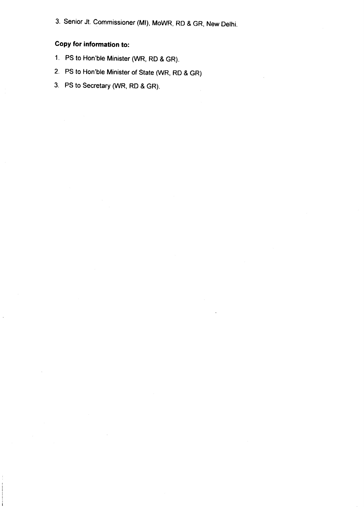3. Senior Jt. Commissioner (Ml), MoWR, RD & GR, New Delhi

# Copy for information to:

- 1. PS to Hon'ble Minister (WR, RD & GR).
- 2. PS to Hon'ble Minister of State WR, RD & GR)
- 3. PS to Secretary (WR, RD & GR).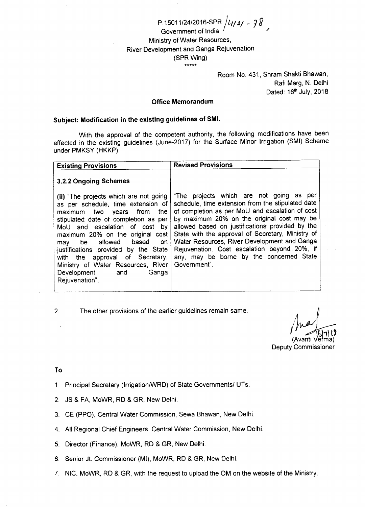P.1501 1/2412016-SPR Government of lndia Ministry of Water Resources, River Development and Ganga Rejuvenation (SPR Wing) |y121 - 78 \*\*\*\*\*

> Room No. 431, Shram Shakti Bhawan, Rafi Marg, N. Delhi Dated: 16<sup>th</sup> July, 2018

 $\overline{\phantom{a}}$ 

#### Office Memorandum

#### Subject: Modification in the existing guidelines of SMl.

With the approval of the competent authority, the following modifications have been effected in the existing guidelines (June-2017) for the Surface Minor lrrigation (SMl) Scheme under PMKSY (HKKP):

| <b>Existing Provisions</b>                                                                                                                                                                                                                                                                                                                                                                                                     | <b>Revised Provisions</b>                                                                                                                                                                                                                                                                                                                                                                                                                                          |
|--------------------------------------------------------------------------------------------------------------------------------------------------------------------------------------------------------------------------------------------------------------------------------------------------------------------------------------------------------------------------------------------------------------------------------|--------------------------------------------------------------------------------------------------------------------------------------------------------------------------------------------------------------------------------------------------------------------------------------------------------------------------------------------------------------------------------------------------------------------------------------------------------------------|
| 3.2.2 Ongoing Schemes                                                                                                                                                                                                                                                                                                                                                                                                          |                                                                                                                                                                                                                                                                                                                                                                                                                                                                    |
| (ii) "The projects which are not going<br>as per schedule, time extension of<br>maximum two years from<br>the<br>stipulated date of completion as per<br>MoU and escalation of cost by<br>maximum 20% on the original cost<br>be allowed based<br>on.<br>mav<br>justifications provided by the State<br>with the approval of Secretary,<br>Ministry of Water Resources, River<br>Development<br>Ganga<br>and<br>Rejuvenation". | "The projects which are not going as per<br>schedule, time extension from the stipulated date<br>of completion as per MoU and escalation of cost<br>by maximum 20% on the original cost may be<br>allowed based on justifications provided by the<br>State with the approval of Secretary, Ministry of<br>Water Resources, River Development and Ganga<br>Rejuvenation. Cost escalation beyond 20%, if<br>any, may be borne by the concerned State<br>Government". |

2. The other provisions of the earlier guidelines remain same

\vanti \ r.)

Deputy Commissioner

#### To

- 1. Principal Secretary (Irrigation/WRD) of State Governments/ UTs.
- 2. JS & FA, MoWR, RD & GR, New Delhi.
- 3. CE (PPO), Central Water Commission, Sewa Bhawan, New Delhi.
- 4. All Regional Chief Engineers, Central Water Commission, New Delhi.
- 5. Director (Finance), MoWR, RD & GR, New Delhi.
- 6. Senior Jt. Commissioner (MI), MoWR, RD & GR, New Delhi.
- 7. NlC, MoWR, RD & GR, with the request to upload the OM on the website of the Ministry